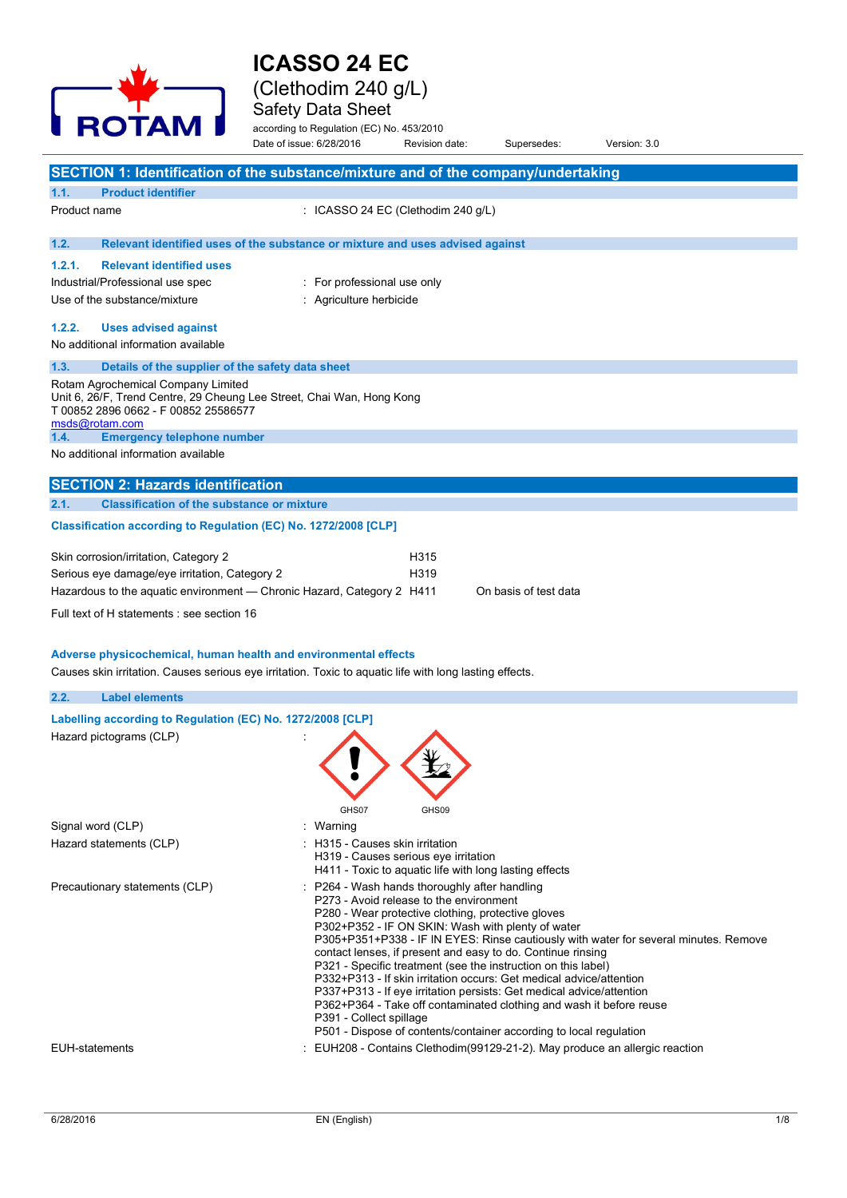

## **ICASSO 24 EC**  (Clethodim 240 g/L)

Safety Data Sheet

according to Regulation (EC) No. 453/2010 Date of issue: 6/28/2016 Revision date: Supersedes: Version: 3.0

|              |                                                                                                                                                     | Date of Issue, 6/20/2010        | Revision date.                                                                                                                               | Superseges.                                                                                                      | Version. 5.0                                                                         |  |
|--------------|-----------------------------------------------------------------------------------------------------------------------------------------------------|---------------------------------|----------------------------------------------------------------------------------------------------------------------------------------------|------------------------------------------------------------------------------------------------------------------|--------------------------------------------------------------------------------------|--|
|              | SECTION 1: Identification of the substance/mixture and of the company/undertaking                                                                   |                                 |                                                                                                                                              |                                                                                                                  |                                                                                      |  |
| 1.1.         | <b>Product identifier</b>                                                                                                                           |                                 |                                                                                                                                              |                                                                                                                  |                                                                                      |  |
| Product name |                                                                                                                                                     |                                 | : ICASSO 24 EC (Clethodim 240 g/L)                                                                                                           |                                                                                                                  |                                                                                      |  |
| 1.2.         | Relevant identified uses of the substance or mixture and uses advised against                                                                       |                                 |                                                                                                                                              |                                                                                                                  |                                                                                      |  |
| 1.2.1.       | <b>Relevant identified uses</b>                                                                                                                     |                                 |                                                                                                                                              |                                                                                                                  |                                                                                      |  |
|              | Industrial/Professional use spec                                                                                                                    | : For professional use only     |                                                                                                                                              |                                                                                                                  |                                                                                      |  |
|              | Use of the substance/mixture                                                                                                                        | : Agriculture herbicide         |                                                                                                                                              |                                                                                                                  |                                                                                      |  |
| 1.2.2.       | <b>Uses advised against</b>                                                                                                                         |                                 |                                                                                                                                              |                                                                                                                  |                                                                                      |  |
|              | No additional information available                                                                                                                 |                                 |                                                                                                                                              |                                                                                                                  |                                                                                      |  |
| 1.3.         | Details of the supplier of the safety data sheet                                                                                                    |                                 |                                                                                                                                              |                                                                                                                  |                                                                                      |  |
|              | Rotam Agrochemical Company Limited<br>Unit 6, 26/F, Trend Centre, 29 Cheung Lee Street, Chai Wan, Hong Kong<br>T 00852 2896 0662 - F 00852 25586577 |                                 |                                                                                                                                              |                                                                                                                  |                                                                                      |  |
| 1.4.         | msds@rotam.com<br><b>Emergency telephone number</b>                                                                                                 |                                 |                                                                                                                                              |                                                                                                                  |                                                                                      |  |
|              | No additional information available                                                                                                                 |                                 |                                                                                                                                              |                                                                                                                  |                                                                                      |  |
|              | <b>SECTION 2: Hazards identification</b>                                                                                                            |                                 |                                                                                                                                              |                                                                                                                  |                                                                                      |  |
| 2.1.         | <b>Classification of the substance or mixture</b>                                                                                                   |                                 |                                                                                                                                              |                                                                                                                  |                                                                                      |  |
|              | Classification according to Regulation (EC) No. 1272/2008 [CLP]                                                                                     |                                 |                                                                                                                                              |                                                                                                                  |                                                                                      |  |
|              | Skin corrosion/irritation, Category 2                                                                                                               |                                 | H315                                                                                                                                         |                                                                                                                  |                                                                                      |  |
|              | Serious eye damage/eye irritation, Category 2                                                                                                       |                                 | H319                                                                                                                                         |                                                                                                                  |                                                                                      |  |
|              | Hazardous to the aquatic environment — Chronic Hazard, Category 2 H411                                                                              |                                 |                                                                                                                                              | On basis of test data                                                                                            |                                                                                      |  |
|              | Full text of H statements : see section 16                                                                                                          |                                 |                                                                                                                                              |                                                                                                                  |                                                                                      |  |
|              | Adverse physicochemical, human health and environmental effects                                                                                     |                                 |                                                                                                                                              |                                                                                                                  |                                                                                      |  |
|              | Causes skin irritation. Causes serious eye irritation. Toxic to aquatic life with long lasting effects.                                             |                                 |                                                                                                                                              |                                                                                                                  |                                                                                      |  |
| 2.2.         | <b>Label elements</b>                                                                                                                               |                                 |                                                                                                                                              |                                                                                                                  |                                                                                      |  |
|              | Labelling according to Regulation (EC) No. 1272/2008 [CLP]                                                                                          |                                 |                                                                                                                                              |                                                                                                                  |                                                                                      |  |
|              | Hazard pictograms (CLP)                                                                                                                             |                                 |                                                                                                                                              |                                                                                                                  |                                                                                      |  |
|              |                                                                                                                                                     | GHS07                           | GHS09                                                                                                                                        |                                                                                                                  |                                                                                      |  |
|              | Signal word (CLP)                                                                                                                                   | Warning                         |                                                                                                                                              |                                                                                                                  |                                                                                      |  |
|              | Hazard statements (CLP)                                                                                                                             | : H315 - Causes skin irritation | H319 - Causes serious eye irritation<br>H411 - Toxic to aquatic life with long lasting effects                                               |                                                                                                                  |                                                                                      |  |
|              | Precautionary statements (CLP)                                                                                                                      |                                 | P264 - Wash hands thoroughly after handling<br>P273 - Avoid release to the environment<br>P280 - Wear protective clothing, protective gloves | P302+P352 - IF ON SKIN: Wash with plenty of water<br>contact lenses, if present and easy to do. Continue rinsing | P305+P351+P338 - IF IN EYES: Rinse cautiously with water for several minutes. Remove |  |

P321 - Specific treatment (see the instruction on this label) P332+P313 - If skin irritation occurs: Get medical advice/attention P337+P313 - If eye irritation persists: Get medical advice/attention P362+P364 - Take off contaminated clothing and wash it before reuse

P501 - Dispose of contents/container according to local regulation

EUH-statements **in the statements** : EUH208 - Contains Clethodim(99129-21-2). May produce an allergic reaction

P391 - Collect spillage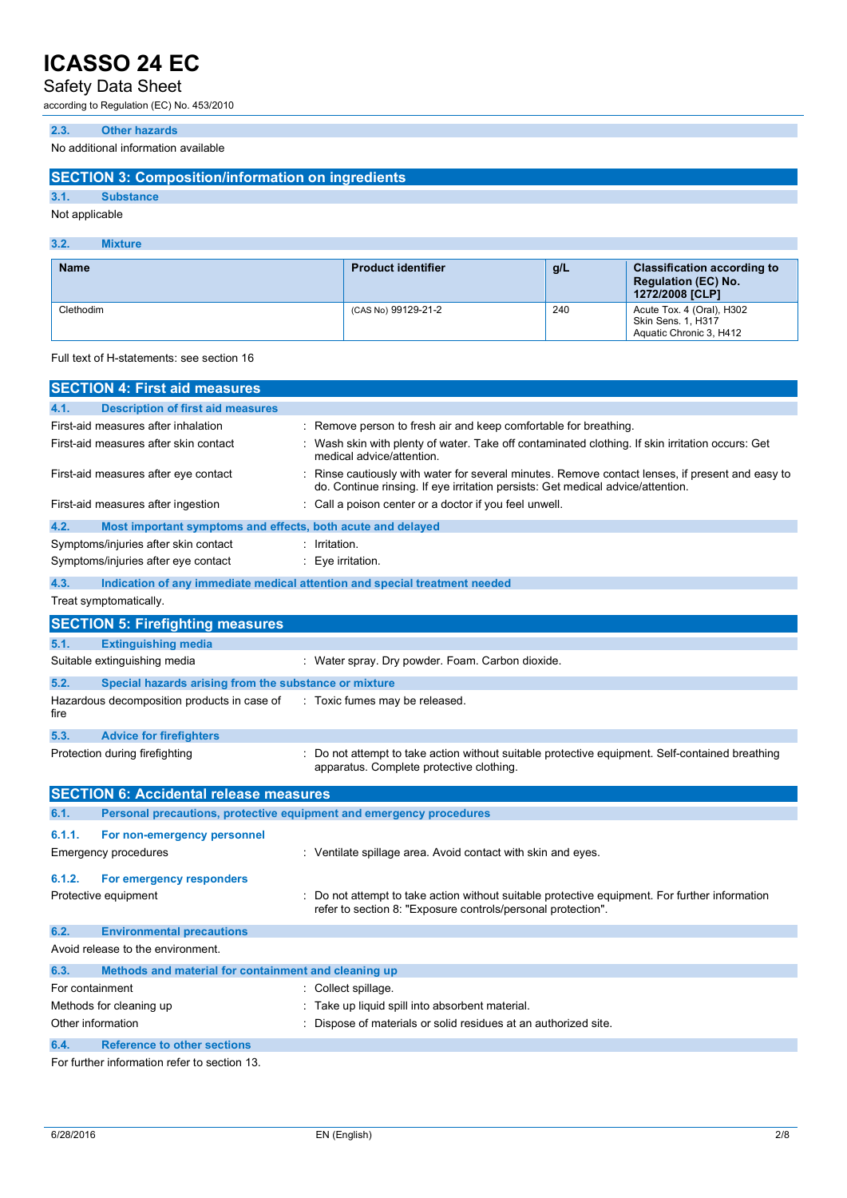### Safety Data Sheet

according to Regulation (EC) No. 453/2010

#### **2.3. Other hazards**

No additional information available

#### **SECTION 3: Composition/information on ingredients**

**3.1. Substance**

### Not applicable

#### **3.2. Mixture**

| <b>Name</b> | <b>Product identifier</b> | g/L | <b>Classification according to</b><br><b>Regulation (EC) No.</b><br>1272/2008 [CLP] |
|-------------|---------------------------|-----|-------------------------------------------------------------------------------------|
| Clethodim   | (CAS No) 99129-21-2       | 240 | Acute Tox. 4 (Oral), H302<br><b>Skin Sens. 1, H317</b><br>Aguatic Chronic 3, H412   |

Full text of H-statements: see section 16

|                         | <b>SECTION 4: First aid measures</b>                                |                                                                                                                                                                                     |  |  |
|-------------------------|---------------------------------------------------------------------|-------------------------------------------------------------------------------------------------------------------------------------------------------------------------------------|--|--|
| 4.1.                    | <b>Description of first aid measures</b>                            |                                                                                                                                                                                     |  |  |
|                         | First-aid measures after inhalation                                 | : Remove person to fresh air and keep comfortable for breathing.                                                                                                                    |  |  |
|                         | First-aid measures after skin contact                               | Wash skin with plenty of water. Take off contaminated clothing. If skin irritation occurs: Get<br>medical advice/attention.                                                         |  |  |
|                         | First-aid measures after eye contact                                | : Rinse cautiously with water for several minutes. Remove contact lenses, if present and easy to<br>do. Continue rinsing. If eye irritation persists: Get medical advice/attention. |  |  |
|                         | First-aid measures after ingestion                                  | Call a poison center or a doctor if you feel unwell.                                                                                                                                |  |  |
| 4.2.                    | Most important symptoms and effects, both acute and delayed         |                                                                                                                                                                                     |  |  |
|                         | Symptoms/injuries after skin contact                                | : Irritation.                                                                                                                                                                       |  |  |
|                         | Symptoms/injuries after eye contact                                 | : Eye irritation.                                                                                                                                                                   |  |  |
| 4.3.                    |                                                                     | Indication of any immediate medical attention and special treatment needed                                                                                                          |  |  |
|                         | Treat symptomatically.                                              |                                                                                                                                                                                     |  |  |
|                         | <b>SECTION 5: Firefighting measures</b>                             |                                                                                                                                                                                     |  |  |
| 5.1.                    | <b>Extinguishing media</b>                                          |                                                                                                                                                                                     |  |  |
|                         | Suitable extinguishing media                                        | : Water spray. Dry powder. Foam. Carbon dioxide.                                                                                                                                    |  |  |
| 5.2.                    | Special hazards arising from the substance or mixture               |                                                                                                                                                                                     |  |  |
| fire                    | Hazardous decomposition products in case of                         | : Toxic fumes may be released.                                                                                                                                                      |  |  |
| 5.3.                    | <b>Advice for firefighters</b>                                      |                                                                                                                                                                                     |  |  |
|                         | Protection during firefighting                                      | : Do not attempt to take action without suitable protective equipment. Self-contained breathing<br>apparatus. Complete protective clothing.                                         |  |  |
|                         | <b>SECTION 6: Accidental release measures</b>                       |                                                                                                                                                                                     |  |  |
| 6.1.                    | Personal precautions, protective equipment and emergency procedures |                                                                                                                                                                                     |  |  |
| 6.1.1.                  | For non-emergency personnel                                         |                                                                                                                                                                                     |  |  |
|                         | Emergency procedures                                                | : Ventilate spillage area. Avoid contact with skin and eyes.                                                                                                                        |  |  |
| 6.1.2.                  | For emergency responders                                            |                                                                                                                                                                                     |  |  |
|                         | Protective equipment                                                | Do not attempt to take action without suitable protective equipment. For further information<br>refer to section 8: "Exposure controls/personal protection".                        |  |  |
| 6.2.                    | <b>Environmental precautions</b>                                    |                                                                                                                                                                                     |  |  |
|                         | Avoid release to the environment.                                   |                                                                                                                                                                                     |  |  |
| 6.3.                    | Methods and material for containment and cleaning up                |                                                                                                                                                                                     |  |  |
| For containment         |                                                                     | Collect spillage.                                                                                                                                                                   |  |  |
| Methods for cleaning up |                                                                     | : Take up liquid spill into absorbent material.                                                                                                                                     |  |  |
| Other information       |                                                                     | Dispose of materials or solid residues at an authorized site.                                                                                                                       |  |  |
| 6.4.                    | <b>Reference to other sections</b>                                  |                                                                                                                                                                                     |  |  |
|                         | Ear further information refer to eastion 12                         |                                                                                                                                                                                     |  |  |

For further information refer to section 13.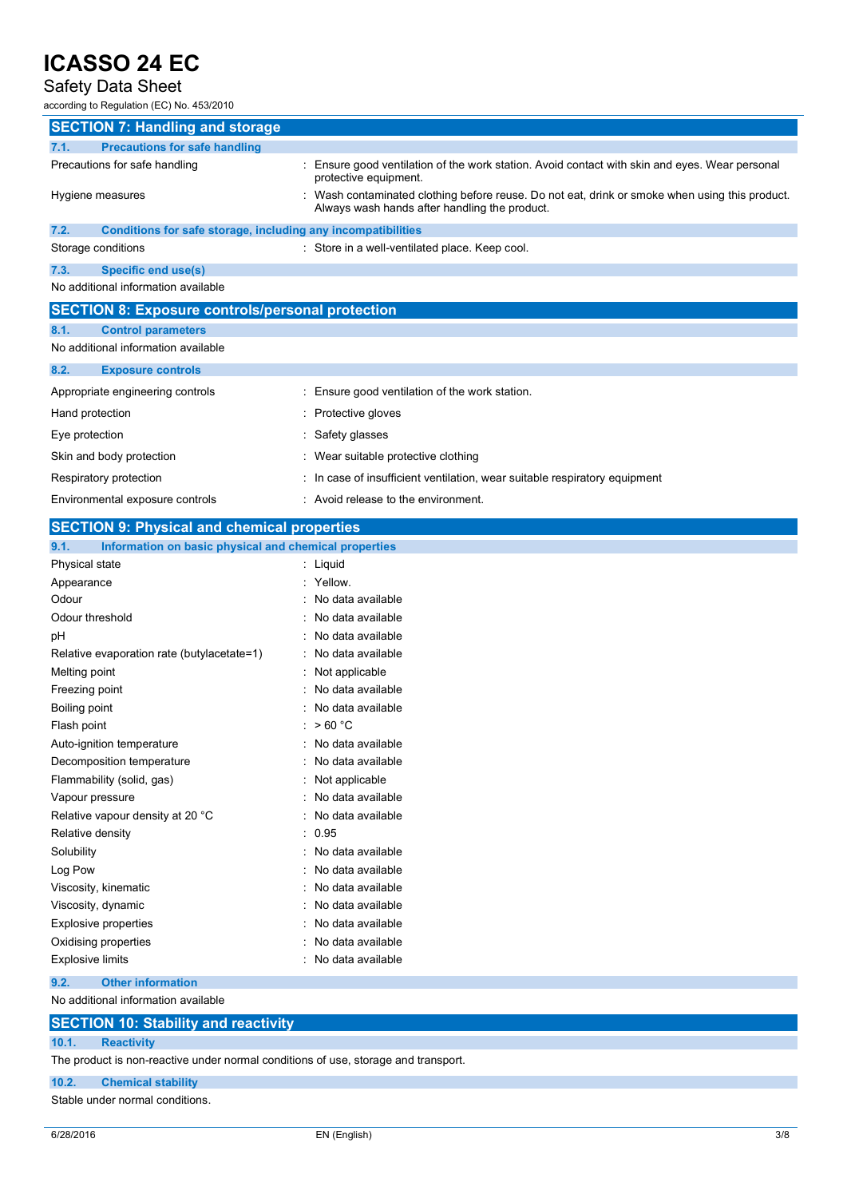### Safety Data Sheet

according to Regulation (EC) No. 453/2010

| <b>SECTION 7: Handling and storage</b>                               |                                                                                                                                                 |  |
|----------------------------------------------------------------------|-------------------------------------------------------------------------------------------------------------------------------------------------|--|
| <b>Precautions for safe handling</b><br>7.1.                         |                                                                                                                                                 |  |
| Precautions for safe handling                                        | : Ensure good ventilation of the work station. Avoid contact with skin and eyes. Wear personal<br>protective equipment.                         |  |
| Hygiene measures                                                     | : Wash contaminated clothing before reuse. Do not eat, drink or smoke when using this product.<br>Always wash hands after handling the product. |  |
| 7.2.<br>Conditions for safe storage, including any incompatibilities |                                                                                                                                                 |  |
| Storage conditions                                                   | : Store in a well-ventilated place. Keep cool.                                                                                                  |  |
| 7.3.<br>Specific end use(s)                                          |                                                                                                                                                 |  |
| No additional information available                                  |                                                                                                                                                 |  |
| <b>SECTION 8: Exposure controls/personal protection</b>              |                                                                                                                                                 |  |
| 8.1.<br><b>Control parameters</b>                                    |                                                                                                                                                 |  |
| No additional information available                                  |                                                                                                                                                 |  |
| 8.2.<br><b>Exposure controls</b>                                     |                                                                                                                                                 |  |
| Appropriate engineering controls                                     | : Ensure good ventilation of the work station.                                                                                                  |  |
| Hand protection                                                      | : Protective gloves                                                                                                                             |  |
| Eye protection                                                       | : Safety glasses                                                                                                                                |  |
| Skin and body protection                                             | : Wear suitable protective clothing                                                                                                             |  |
| Respiratory protection                                               | : In case of insufficient ventilation, wear suitable respiratory equipment                                                                      |  |
| Environmental exposure controls                                      | : Avoid release to the environment.                                                                                                             |  |
| <b>SECTION 9: Physical and chemical properties</b>                   |                                                                                                                                                 |  |

| 9.1.           | Information on basic physical and chemical properties |  |
|----------------|-------------------------------------------------------|--|
| Dhuqiool ototo | امنسمنا                                               |  |

| J. I.<br><u>monifation on basic priysical and chemical properties</u> |                        |
|-----------------------------------------------------------------------|------------------------|
| Physical state                                                        | : Liquid               |
| Appearance                                                            | : Yellow.              |
| Odour                                                                 | No data available      |
| Odour threshold                                                       | No data available      |
| рH                                                                    | No data available      |
| Relative evaporation rate (butylacetate=1)                            | No data available      |
| Melting point                                                         | Not applicable         |
| Freezing point                                                        | No data available      |
| Boiling point                                                         | No data available      |
| Flash point                                                           | >60 °C<br>÷.           |
| Auto-ignition temperature                                             | No data available      |
| Decomposition temperature                                             | No data available      |
| Flammability (solid, gas)                                             | Not applicable         |
| Vapour pressure                                                       | No data available      |
| Relative vapour density at 20 °C                                      | No data available      |
| Relative density                                                      | : 0.95                 |
| Solubility                                                            | No data available<br>٠ |
| Log Pow                                                               | No data available      |
| Viscosity, kinematic                                                  | No data available      |
| Viscosity, dynamic                                                    | No data available      |
| Explosive properties                                                  | No data available      |
| Oxidising properties                                                  | No data available      |
| <b>Explosive limits</b>                                               | No data available      |
| 9.2.<br><b>Other information</b>                                      |                        |

No additional information available

#### **SECTION 10: Stability and reactivity**

#### **10.1. Reactivity**

The product is non-reactive under normal conditions of use, storage and transport.

#### **10.2. Chemical stability**

Stable under normal conditions.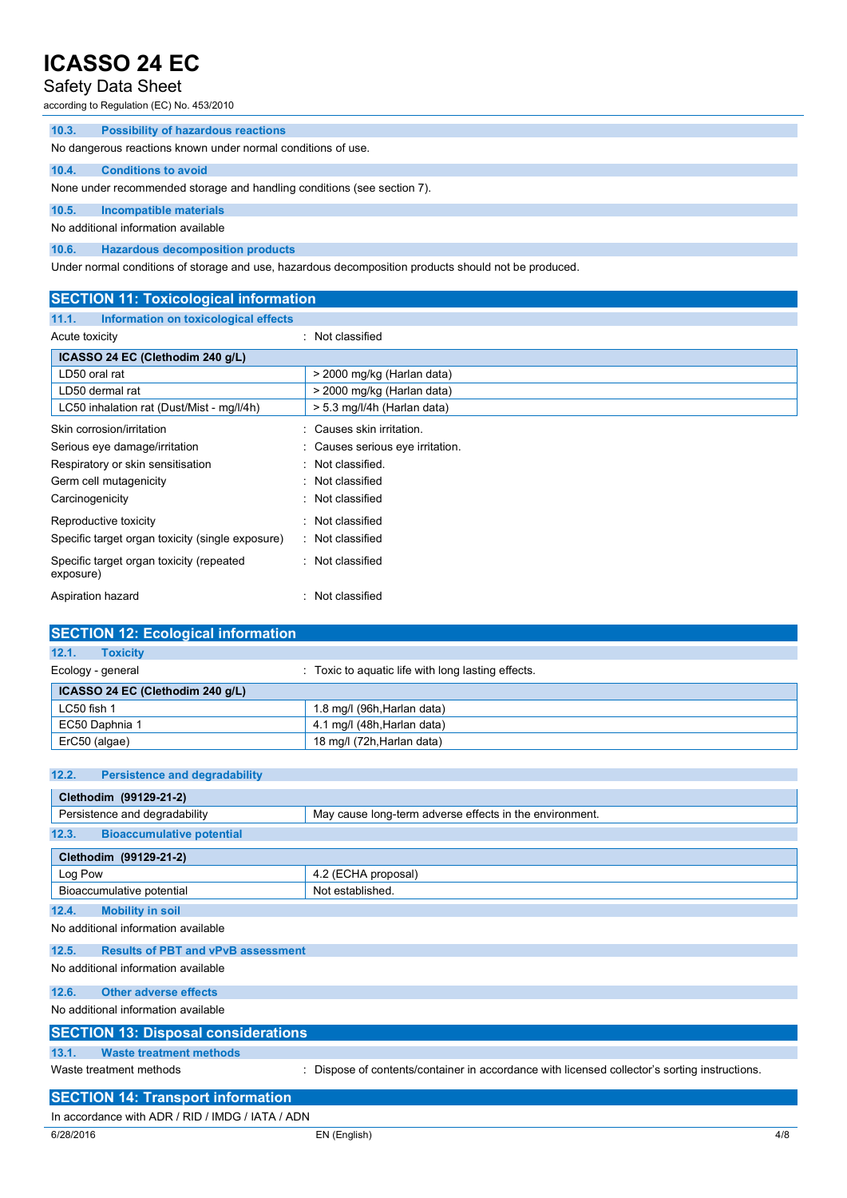### Safety Data Sheet

according to Regulation (EC) No. 453/2010

| 10.3.                                                                   | <b>Possibility of hazardous reactions</b>                    |  |  |  |
|-------------------------------------------------------------------------|--------------------------------------------------------------|--|--|--|
|                                                                         | No dangerous reactions known under normal conditions of use. |  |  |  |
| 10.4.                                                                   | <b>Conditions to avoid</b>                                   |  |  |  |
| None under recommended storage and handling conditions (see section 7). |                                                              |  |  |  |
| 10.5.                                                                   | <b>Incompatible materials</b>                                |  |  |  |
| No additional information available                                     |                                                              |  |  |  |
| 10.6.                                                                   | <b>Hazardous decomposition products</b>                      |  |  |  |

Under normal conditions of storage and use, hazardous decomposition products should not be produced.

| <b>SECTION 11: Toxicological information</b>          |                                  |  |  |
|-------------------------------------------------------|----------------------------------|--|--|
| Information on toxicological effects<br>11.1.         |                                  |  |  |
| Acute toxicity                                        | : Not classified                 |  |  |
| ICASSO 24 EC (Clethodim 240 g/L)                      |                                  |  |  |
| LD50 oral rat                                         | > 2000 mg/kg (Harlan data)       |  |  |
| LD50 dermal rat                                       | > 2000 mg/kg (Harlan data)       |  |  |
| LC50 inhalation rat (Dust/Mist - mg/l/4h)             | > 5.3 mg/l/4h (Harlan data)      |  |  |
| Skin corrosion/irritation                             | : Causes skin irritation.        |  |  |
| Serious eye damage/irritation                         | : Causes serious eye irritation. |  |  |
| Respiratory or skin sensitisation                     | : Not classified.                |  |  |
| Germ cell mutagenicity                                | : Not classified                 |  |  |
| Carcinogenicity                                       | : Not classified                 |  |  |
| Reproductive toxicity                                 | : Not classified                 |  |  |
| Specific target organ toxicity (single exposure)      | : Not classified                 |  |  |
| Specific target organ toxicity (repeated<br>exposure) | : Not classified                 |  |  |
| Aspiration hazard                                     | Not classified                   |  |  |

| <b>SECTION 12: Ecological information</b> |                                                    |  |  |  |
|-------------------------------------------|----------------------------------------------------|--|--|--|
| 12.1.<br><b>Toxicity</b>                  |                                                    |  |  |  |
| Ecology - general                         | : Toxic to aquatic life with long lasting effects. |  |  |  |
| ICASSO 24 EC (Clethodim 240 g/L)          |                                                    |  |  |  |
| LC50 fish 1                               | 1.8 mg/l (96h, Harlan data)                        |  |  |  |
| EC50 Daphnia 1                            | 4.1 mg/l (48h, Harlan data)                        |  |  |  |
| ErC50 (algae)                             | 18 mg/l (72h, Harlan data)                         |  |  |  |

#### **12.2. Persistence and degradability**

| Clethodim (99129-21-2)                                                                                                      |                     |  |  |
|-----------------------------------------------------------------------------------------------------------------------------|---------------------|--|--|
| Persistence and degradability<br>May cause long-term adverse effects in the environment.                                    |                     |  |  |
| <b>Bioaccumulative potential</b><br>12.3.                                                                                   |                     |  |  |
| Clethodim (99129-21-2)                                                                                                      |                     |  |  |
| Log Pow                                                                                                                     | 4.2 (ECHA proposal) |  |  |
| Bioaccumulative potential                                                                                                   | Not established.    |  |  |
| 12.4.<br><b>Mobility in soil</b>                                                                                            |                     |  |  |
| No additional information available                                                                                         |                     |  |  |
| <b>Results of PBT and vPvB assessment</b><br>12.5.                                                                          |                     |  |  |
| No additional information available                                                                                         |                     |  |  |
| <b>Other adverse effects</b><br>12.6.                                                                                       |                     |  |  |
| No additional information available                                                                                         |                     |  |  |
| <b>SECTION 13: Disposal considerations</b>                                                                                  |                     |  |  |
| <b>Waste treatment methods</b><br>13.1.                                                                                     |                     |  |  |
| Dispose of contents/container in accordance with licensed collector's sorting instructions.<br>Waste treatment methods<br>÷ |                     |  |  |

|  |  | <b>SECTION 14: Transport information</b> |  |
|--|--|------------------------------------------|--|
|  |  |                                          |  |

In accordance with ADR / RID / IMDG / IATA / ADN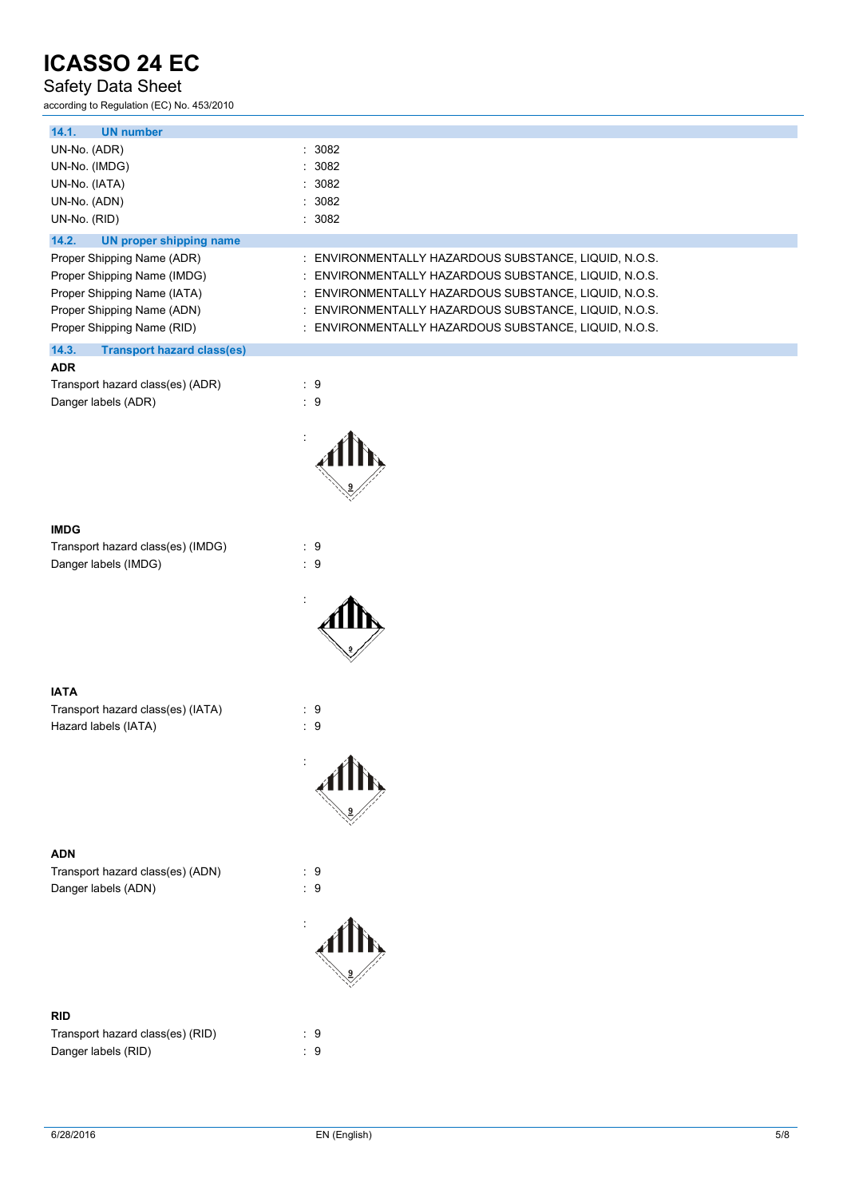### Safety Data Sheet

according to Regulation (EC) No. 453/2010

| <b>UN number</b><br>14.1.                  |                                                       |
|--------------------------------------------|-------------------------------------------------------|
| UN-No. (ADR)                               | : 3082                                                |
| UN-No. (IMDG)                              | : 3082                                                |
| UN-No. (IATA)                              | : 3082                                                |
| UN-No. (ADN)                               | : 3082                                                |
| UN-No. (RID)                               | : 3082                                                |
| 14.2.<br>UN proper shipping name           |                                                       |
| Proper Shipping Name (ADR)                 | : ENVIRONMENTALLY HAZARDOUS SUBSTANCE, LIQUID, N.O.S. |
| Proper Shipping Name (IMDG)                | : ENVIRONMENTALLY HAZARDOUS SUBSTANCE, LIQUID, N.O.S. |
| Proper Shipping Name (IATA)                | : ENVIRONMENTALLY HAZARDOUS SUBSTANCE, LIQUID, N.O.S. |
| Proper Shipping Name (ADN)                 | : ENVIRONMENTALLY HAZARDOUS SUBSTANCE, LIQUID, N.O.S. |
| Proper Shipping Name (RID)                 | : ENVIRONMENTALLY HAZARDOUS SUBSTANCE, LIQUID, N.O.S. |
| 14.3.<br><b>Transport hazard class(es)</b> |                                                       |
| <b>ADR</b>                                 |                                                       |
| Transport hazard class(es) (ADR)           | $\therefore$ 9                                        |
| Danger labels (ADR)                        | :9                                                    |
|                                            |                                                       |
|                                            |                                                       |



Transport hazard class(es) (IMDG) : 9 Danger labels (IMDG) **in the set of the set of the set of the set of the set of the set of the set of the set o** 



#### **IATA** Transport hazard class(es) (IATA) : 9 Hazard labels (IATA)  $\qquad \qquad$  : 9

#### **ADN**

Transport hazard class(es) (ADN) : 9<br>Danger labels (ADN) : 9 Danger labels (ADN)

#### **RID**

Transport hazard class(es) (RID) : 9 Danger labels (RID) 30 and 20 and 20 and 20 and 20 and 20 and 20 and 20 and 20 and 20 and 20 and 20 and 20 and 20 and 20 and 20 and 20 and 20 and 20 and 20 and 20 and 20 and 20 and 20 and 20 and 20 and 20 and 20 and 20 and



: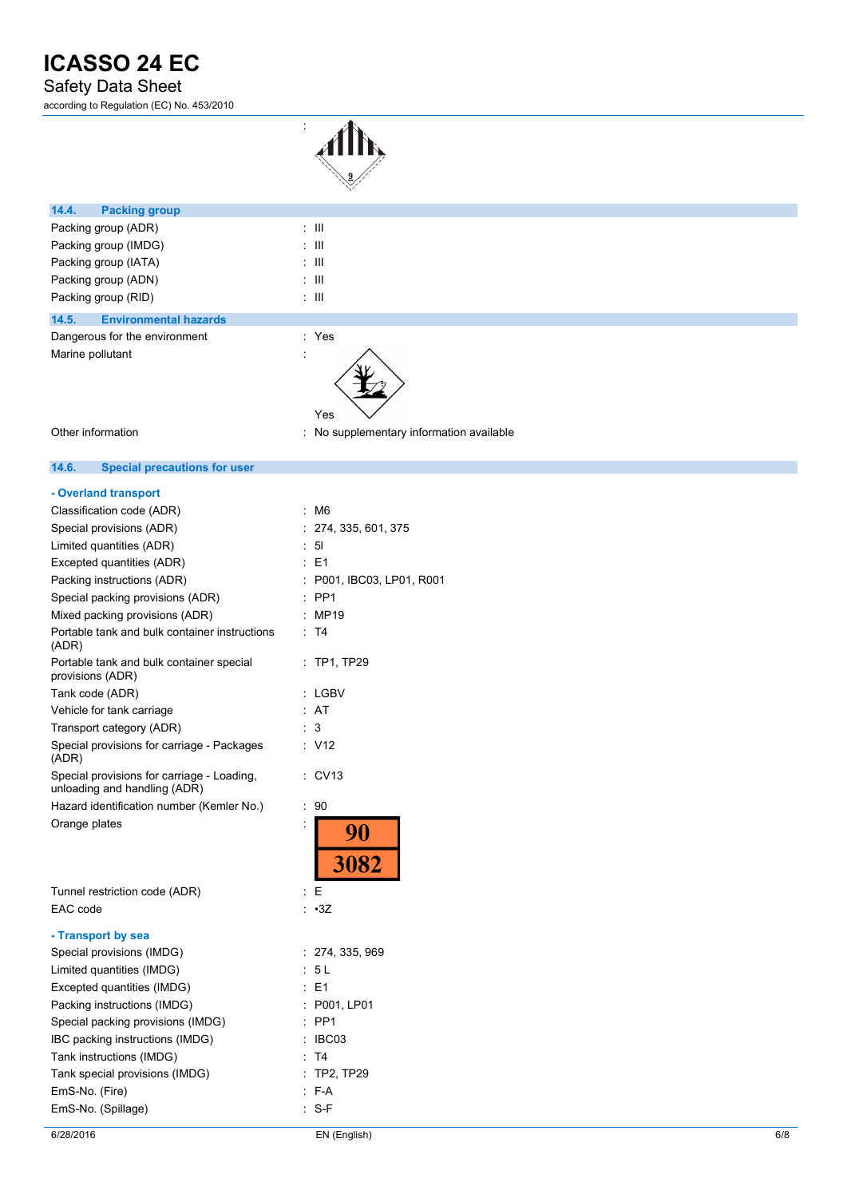### Safety Data Sheet

according to Regulation (EC) No. 453/2010



| 14.4.<br><b>Packing group</b>         |                                          |
|---------------------------------------|------------------------------------------|
| Packing group (ADR)                   | $\pm$ 111                                |
| Packing group (IMDG)                  | $\pm$ 111                                |
| Packing group (IATA)                  | $\pm$ 111                                |
| Packing group (ADN)                   | $\pm$ 111                                |
| Packing group (RID)                   | $\pm$ 111                                |
| <b>Environmental hazards</b><br>14.5. |                                          |
| Dangerous for the environment         | : Yes                                    |
| Marine pollutant                      | $\bullet$<br>×.<br>Yes                   |
| Other information                     | : No supplementary information available |

#### $14.6.$ **14.6. Special precautions for user**

#### **- Overland transport**

| Classification code (ADR)                                                  | M6                      |
|----------------------------------------------------------------------------|-------------------------|
| Special provisions (ADR)                                                   | 274, 335, 601, 375      |
| Limited quantities (ADR)                                                   | 51                      |
| Excepted quantities (ADR)                                                  | E1                      |
| Packing instructions (ADR)                                                 | P001, IBC03, LP01, R001 |
| Special packing provisions (ADR)                                           | PP <sub>1</sub>         |
| Mixed packing provisions (ADR)                                             | MP19                    |
| Portable tank and bulk container instructions<br>(ADR)                     | T <sub>4</sub>          |
| Portable tank and bulk container special<br>provisions (ADR)               | <b>TP1, TP29</b>        |
| Tank code (ADR)                                                            | LGBV                    |
| Vehicle for tank carriage                                                  | AT                      |
| Transport category (ADR)                                                   | 3                       |
| Special provisions for carriage - Packages<br>(ADR)                        | V <sub>12</sub>         |
| Special provisions for carriage - Loading,<br>unloading and handling (ADR) | <b>CV13</b>             |
| Hazard identification number (Kemler No.)                                  | 90<br>$\ddot{\cdot}$    |
| Orange plates                                                              | 90<br>3082              |
| Tunnel restriction code (ADR)                                              | E                       |
| EAC code                                                                   | : •3Z                   |
| - Transport by sea                                                         |                         |
| Special provisions (IMDG)                                                  | 274, 335, 969<br>t      |
| Limited quantities (IMDG)                                                  | 5L                      |
| Excepted quantities (IMDG)                                                 | E1                      |
| Packing instructions (IMDG)                                                | P001, LP01              |
| Special packing provisions (IMDG)                                          | PP <sub>1</sub>         |
| IBC packing instructions (IMDG)                                            | IBC03                   |
| Tank instructions (IMDG)                                                   | T4                      |
| Tank special provisions (IMDG)                                             | <b>TP2, TP29</b>        |
| EmS-No. (Fire)                                                             | F-A                     |

EmS-No. (Spillage) in the set of the S-F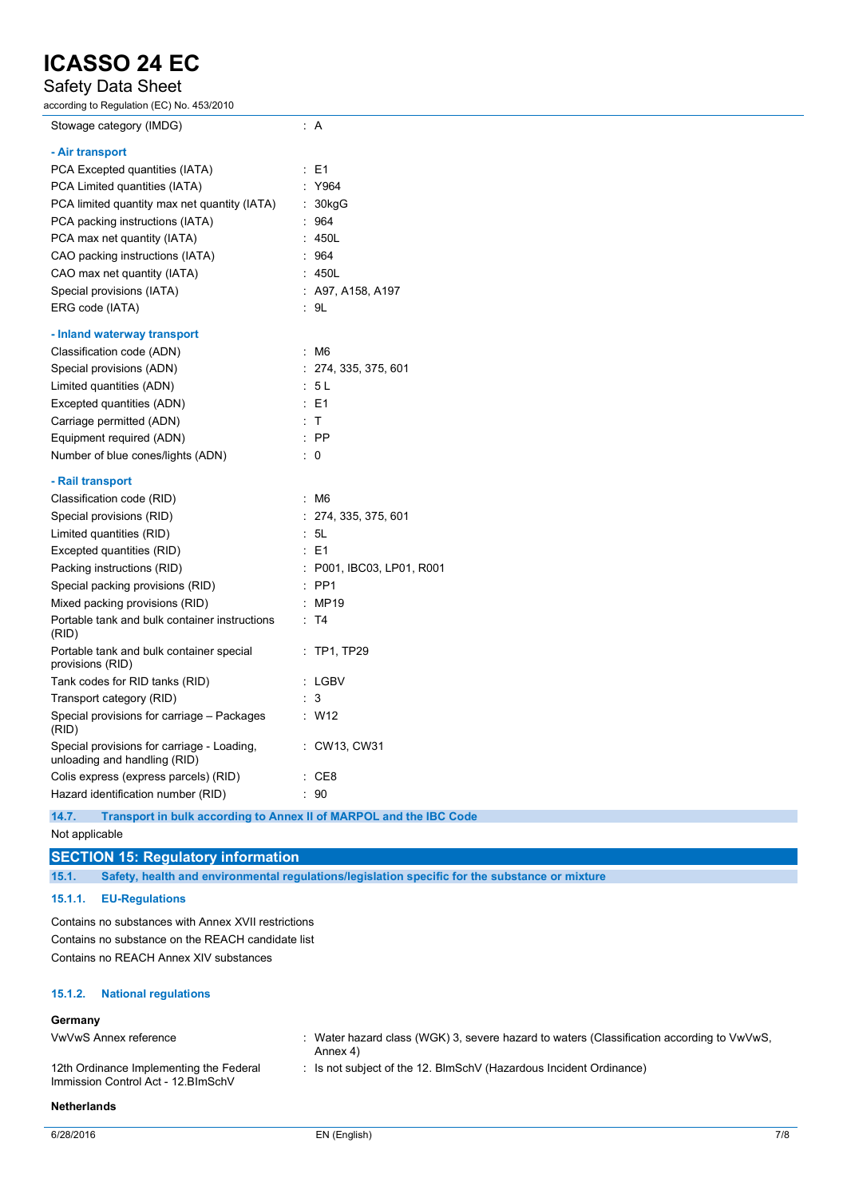# Safety Data Sheet

according to Regulation (EC) No. 453/2010

| ccording to Regulation (EC) No. 453/2010                                   |                           |
|----------------------------------------------------------------------------|---------------------------|
| Stowage category (IMDG)                                                    | : A                       |
| - Air transport                                                            |                           |
| PCA Excepted quantities (IATA)                                             | $\therefore$ E1           |
| PCA Limited quantities (IATA)                                              | : Y964                    |
| PCA limited quantity max net quantity (IATA)                               | : 30kgG                   |
| PCA packing instructions (IATA)                                            | : 964                     |
| PCA max net quantity (IATA)                                                | : 450L                    |
| CAO packing instructions (IATA)                                            | : 964                     |
| CAO max net quantity (IATA)                                                | : 450L                    |
| Special provisions (IATA)                                                  | $:$ A97, A158, A197       |
| ERG code (IATA)                                                            | : 9L                      |
| - Inland waterway transport                                                |                           |
| Classification code (ADN)                                                  | : M6                      |
| Special provisions (ADN)                                                   | : 274, 335, 375, 601      |
| Limited quantities (ADN)                                                   | : 5L                      |
| Excepted quantities (ADN)                                                  | $\therefore$ E1           |
| Carriage permitted (ADN)                                                   | $\cdot$ T                 |
| Equipment required (ADN)                                                   | $\therefore$ PP           |
| Number of blue cones/lights (ADN)                                          | $\therefore$ 0            |
| - Rail transport                                                           |                           |
| Classification code (RID)                                                  | : M6                      |
| Special provisions (RID)                                                   | : 274, 335, 375, 601      |
| Limited quantities (RID)                                                   | : 5L                      |
| Excepted quantities (RID)                                                  | $\therefore$ E1           |
| Packing instructions (RID)                                                 | : P001, IBC03, LP01, R001 |
| Special packing provisions (RID)                                           | : PP1                     |
| Mixed packing provisions (RID)                                             | : MP19                    |
| Portable tank and bulk container instructions<br>(RID)                     | : T4                      |
| Portable tank and bulk container special<br>provisions (RID)               | $:$ TP1, TP29             |
| Tank codes for RID tanks (RID)                                             | : LGBV                    |
| Transport category (RID)                                                   | : 3                       |
| Special provisions for carriage - Packages<br>(RID)                        | $\therefore$ W12          |
| Special provisions for carriage - Loading,<br>unloading and handling (RID) | : CW13, CW31              |
| Colis express (express parcels) (RID)                                      | : CE8                     |
| Hazard identification number (RID)                                         | : 90                      |

**14.7. Transport in bulk according to Annex II of MARPOL and the IBC Code**

#### Not applicable

## **SECTION 15: Regulatory information**

**15.1. Safety, health and environmental regulations/legislation specific for the substance or mixture**

#### **15.1.1. EU-Regulations**

Contains no substances with Annex XVII restrictions Contains no substance on the REACH candidate list Contains no REACH Annex XIV substances

#### **15.1.2. National regulations**

#### **Germany**

| VwVwS Annex reference                                                          | : Water hazard class (WGK) 3, severe hazard to waters (Classification according to $VwVwS$ ,<br>Annex 4) |
|--------------------------------------------------------------------------------|----------------------------------------------------------------------------------------------------------|
| 12th Ordinance Implementing the Federal<br>Immission Control Act - 12. BlmSchV | : Is not subject of the 12. BlmSchV (Hazardous Incident Ordinance)                                       |

**Netherlands**